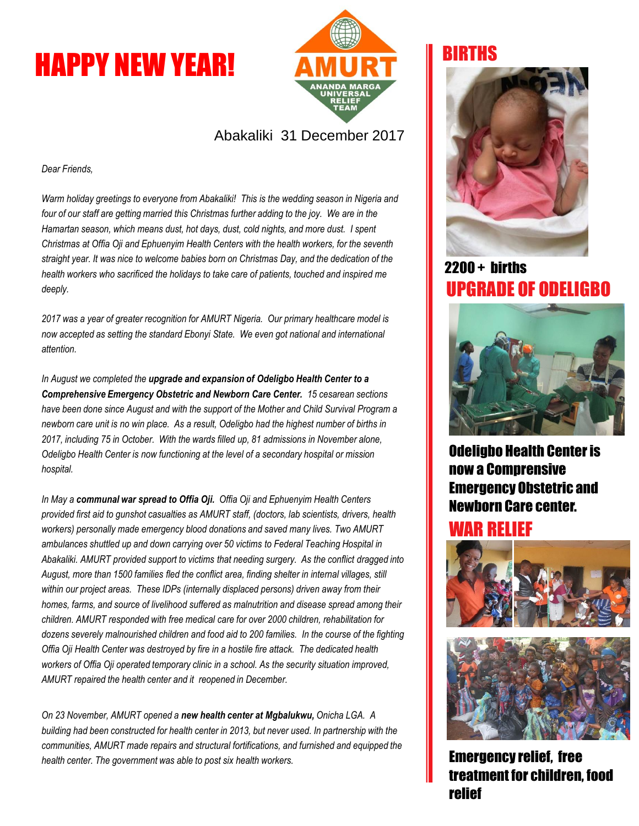# HAPPY NEW YEAR!



#### Abakaliki 31 December 2017

*Dear Friends,*

*Warm holiday greetings to everyone from Abakaliki! This is the wedding season in Nigeria and*  four of our staff are getting married this Christmas further adding to the joy. We are in the *Hamartan season, which means dust, hot days, dust, cold nights, and more dust. I spent Christmas at Offia Oji and Ephuenyim Health Centers with the health workers, for the seventh straight year. It was nice to welcome babies born on Christmas Day, and the dedication of the health workers who sacrificed the holidays to take care of patients, touched and inspired me deeply.*

*2017 was a year of greater recognition for AMURT Nigeria. Our primary healthcare model is now accepted as setting the standard Ebonyi State. We even got national and international attention.* 

*In August we completed the upgrade and expansion of Odeligbo Health Center to a Comprehensive Emergency Obstetric and Newborn Care Center. 15 cesarean sections have been done since August and with the support of the Mother and Child Survival Program a newborn care unit is no win place. As a result, Odeligbo had the highest number of births in 2017, including 75 in October. With the wards filled up, 81 admissions in November alone, Odeligbo Health Center is now functioning at the level of a secondary hospital or mission hospital.* 

*In May a communal war spread to Offia Oji. Offia Oji and Ephuenyim Health Centers provided first aid to gunshot casualties as AMURT staff, (doctors, lab scientists, drivers, health workers) personally made emergency blood donations and saved many lives. Two AMURT ambulances shuttled up and down carrying over 50 victims to Federal Teaching Hospital in Abakaliki. AMURT provided support to victims that needing surgery. As the conflict dragged into August, more than 1500 families fled the conflict area, finding shelter in internal villages, still within our project areas. These IDPs (internally displaced persons) driven away from their homes, farms, and source of livelihood suffered as malnutrition and disease spread among their children. AMURT responded with free medical care for over 2000 children, rehabilitation for dozens severely malnourished children and food aid to 200 families. In the course of the fighting Offia Oji Health Center was destroyed by fire in a hostile fire attack. The dedicated health workers of Offia Oji operated temporary clinic in a school. As the security situation improved, AMURT repaired the health center and it reopened in December.* 

*On 23 November, AMURT opened a new health center at Mgbalukwu, Onicha LGA. A building had been constructed for health center in 2013, but never used. In partnership with the communities, AMURT made repairs and structural fortifications, and furnished and equipped the health center. The government was able to post six health workers.* 

# BIRTHS



# 2200 + births UPGRADE OF ODELIGBO



Odeligbo Health Center is now a Comprensive Emergency Obstetric and Newborn Care center.

#### WAR RELIEF





Emergency relief, free treatment for children, food relief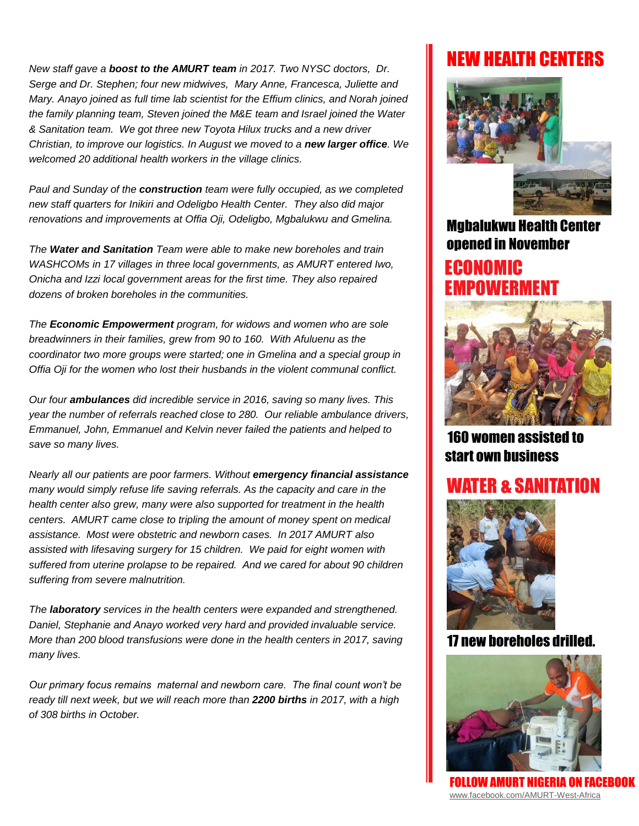*New staff gave a boost to the AMURT team in 2017. Two NYSC doctors, Dr. Serge and Dr. Stephen; four new midwives, Mary Anne, Francesca, Juliette and Mary. Anayo joined as full time lab scientist for the Effium clinics, and Norah joined the family planning team, Steven joined the M&E team and Israel joined the Water & Sanitation team. We got three new Toyota Hilux trucks and a new driver Christian, to improve our logistics. In August we moved to a new larger office. We welcomed 20 additional health workers in the village clinics.* 

*Paul and Sunday of the construction team were fully occupied, as we completed new staff quarters for Inikiri and Odeligbo Health Center. They also did major renovations and improvements at Offia Oji, Odeligbo, Mgbalukwu and Gmelina.* 

*The Water and Sanitation Team were able to make new boreholes and train WASHCOMs in 17 villages in three local governments, as AMURT entered Iwo, Onicha and Izzi local government areas for the first time. They also repaired dozens of broken boreholes in the communities.* 

*The Economic Empowerment program, for widows and women who are sole breadwinners in their families, grew from 90 to 160. With Afuluenu as the coordinator two more groups were started; one in Gmelina and a special group in Offia Oji for the women who lost their husbands in the violent communal conflict.*

*Our four ambulances did incredible service in 2016, saving so many lives. This year the number of referrals reached close to 280. Our reliable ambulance drivers, Emmanuel, John, Emmanuel and Kelvin never failed the patients and helped to save so many lives.*

*Nearly all our patients are poor farmers. Without emergency financial assistance many would simply refuse life saving referrals. As the capacity and care in the health center also grew, many were also supported for treatment in the health centers. AMURT came close to tripling the amount of money spent on medical assistance. Most were obstetric and newborn cases. In 2017 AMURT also assisted with lifesaving surgery for 15 children. We paid for eight women with suffered from uterine prolapse to be repaired. And we cared for about 90 children suffering from severe malnutrition.* 

*The laboratory services in the health centers were expanded and strengthened. Daniel, Stephanie and Anayo worked very hard and provided invaluable service. More than 200 blood transfusions were done in the health centers in 2017, saving many lives.* 

*Our primary focus remains maternal and newborn care. The final count won't be ready till next week, but we will reach more than 2200 births in 2017, with a high of 308 births in October.* 

# NEW HEALTH CENTERS



Mgbalukwu Health Center opened in November ECONOMIC EMPOWERMENT



160 women assisted to start own business

### R & SANITATION



#### 17 new boreholes drilled.



FOLLOW AMURT NIGERIA ON FACEBOOK [www.facebook.com/AMURT-West-Africa](http://www.facebook.com/AMURT-West-Africa)